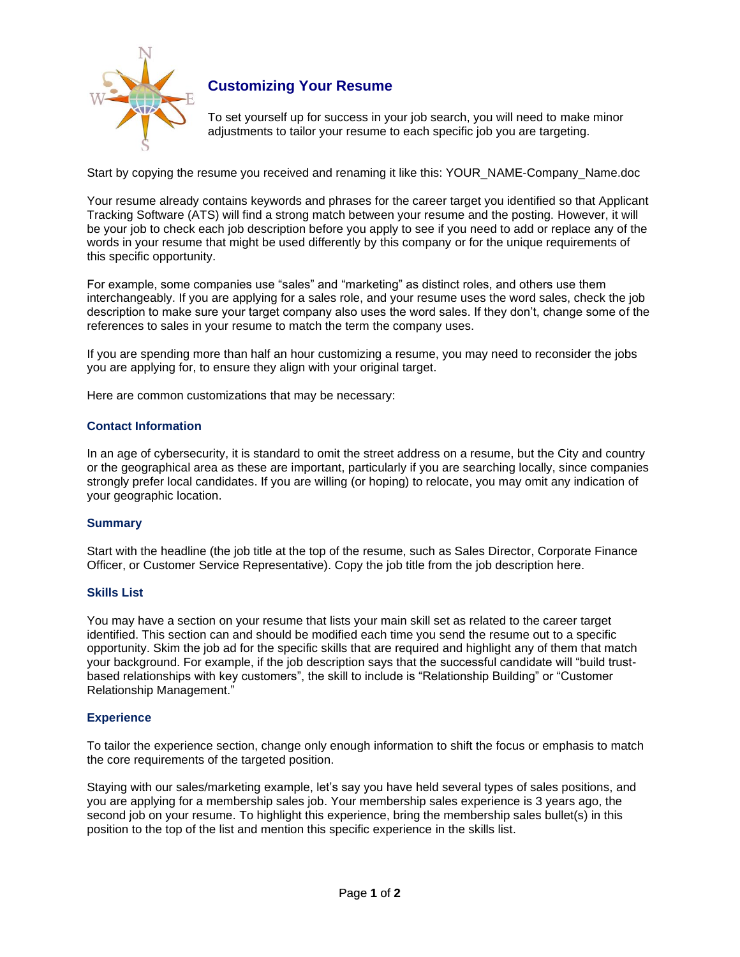

# **Customizing Your Resume**

To set yourself up for success in your job search, you will need to make minor adjustments to tailor your resume to each specific job you are targeting.

Start by copying the resume you received and renaming it like this: YOUR\_NAME-Company\_Name.doc

Your resume already contains keywords and phrases for the career target you identified so that Applicant Tracking Software (ATS) will find a strong match between your resume and the posting. However, it will be your job to check each job description before you apply to see if you need to add or replace any of the words in your resume that might be used differently by this company or for the unique requirements of this specific opportunity.

For example, some companies use "sales" and "marketing" as distinct roles, and others use them interchangeably. If you are applying for a sales role, and your resume uses the word sales, check the job description to make sure your target company also uses the word sales. If they don't, change some of the references to sales in your resume to match the term the company uses.

If you are spending more than half an hour customizing a resume, you may need to reconsider the jobs you are applying for, to ensure they align with your original target.

Here are common customizations that may be necessary:

## **Contact Information**

In an age of cybersecurity, it is standard to omit the street address on a resume, but the City and country or the geographical area as these are important, particularly if you are searching locally, since companies strongly prefer local candidates. If you are willing (or hoping) to relocate, you may omit any indication of your geographic location.

#### **Summary**

Start with the headline (the job title at the top of the resume, such as Sales Director, Corporate Finance Officer, or Customer Service Representative). Copy the job title from the job description here.

#### **Skills List**

You may have a section on your resume that lists your main skill set as related to the career target identified. This section can and should be modified each time you send the resume out to a specific opportunity. Skim the job ad for the specific skills that are required and highlight any of them that match your background. For example, if the job description says that the successful candidate will "build trustbased relationships with key customers", the skill to include is "Relationship Building" or "Customer Relationship Management."

#### **Experience**

To tailor the experience section, change only enough information to shift the focus or emphasis to match the core requirements of the targeted position.

Staying with our sales/marketing example, let's say you have held several types of sales positions, and you are applying for a membership sales job. Your membership sales experience is 3 years ago, the second job on your resume. To highlight this experience, bring the membership sales bullet(s) in this position to the top of the list and mention this specific experience in the skills list.